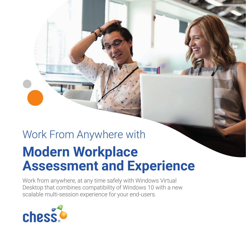# Work From Anywhere with **Modern Workplace Assessment and Experience**

Work from anywhere, at any time safely with Windows Virtual Desktop that combines compatibility of Windows 10 with a new scalable multi-session experience for your end-users.

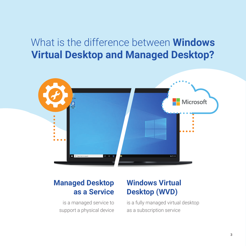### What is the difference between **Windows Virtual Desktop and Managed Desktop?**



### **Managed Desktop as a Service**

is a managed service to support a physical device

### **Windows Virtual Desktop (WVD)**

is a fully managed virtual desktop as a subscription service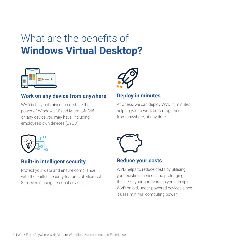## What are the benefits of **Windows Virtual Desktop?**



#### **Work on any device from anywhere**

WVD is fully optimised to combine the power of Windows 10 and Microsoft 365 on any device you may have, including employee's own devices (BYOD).



#### **Deploy in minutes**

At Chess, we can deploy WVD in minutes helping you to work better together from anywhere, at any time.



#### **Built-in intelligent security**

Protect your data and ensure compliance with the built-in security features of Microsoft 365, even if using personal devices.



#### **Reduce your costs**

WVD helps to reduce costs by utilising your existing licences and prolonging the life of your hardware as you can spin WVD on old, under-powered devices since it uses minimal computing power.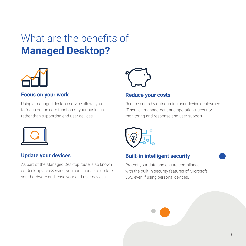# What are the benefits of **Managed Desktop?**



#### **Focus on your work**

Using a managed desktop service allows you to focus on the core function of your business rather than supporting end-user devices.



#### **Update your devices**

As part of the Managed Desktop route, also known as Desktop-as-a-Service, you can choose to update your hardware and lease your end-user devices.



#### **Reduce your costs**

Reduce costs by outsourcing user device deployment, IT service management and operations, security monitoring and response and user support.



#### **Built-in intelligent security**

Protect your data and ensure compliance with the built-in security features of Microsoft 365, even if using personal devices.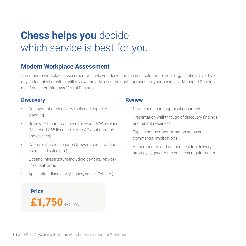### **Chess helps you** decide which service is best for you

#### **Modern Workplace Assessment**

The modern workplace assessment will help you decide on the best solution for your organisation. Over two days a technical architect will review and advise on the right approach for your business - Managed Desktop as a Service or Windows Virtual Desktop.

#### **Discovery**

- Deployment of discovery tools and capacity planning
- Review of tenant readiness for Modern Workplace (Microsoft 365 licences, Azure AD configuration and devices)
- Capture of user scenarios (power users, frontline users, field sales etc.)
- Existing infrastructure including devices, network links, platforms
- Application discovery (Legacy, native, EoL etc.)

**Price £1,750**excl. VAT

#### **Review**

- Create and share appraisal document
- Presentation walkthrough of discovery findings and tenant readiness
- Explaining the transformation steps and commercial implications
- A documented and defined desktop delivery strategy aligned to the business requirements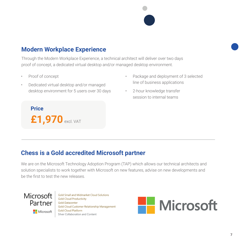

#### **Modern Workplace Experience**

Through the Modern Workplace Experience, a technical architect will deliver over two days proof of concept, a dedicated virtual desktop and/or managed desktop environment.

- Proof of concept
- Dedicated virtual desktop and/or managed desktop environment for 5 users over 30 days
- Package and deployment of 3 selected line of business applications
- 2-hour knowledge transfer session to internal teams

**Price £1,970**excl. VAT

#### **Chess is a Gold accredited Microsoft partner**

We are on the Microsoft Technology Adoption Program (TAP) which allows our technical architects and solution specialists to work together with Microsoft on new features, advise on new developments and be the first to test the new releases.



Gold Small and Midmarket Cloud Solutions **Gold Cloud Productivity Gold Datacenter** Gold Cloud Customer Relationship Management **Gold Cloud Platform** Silver Collaboration and Content

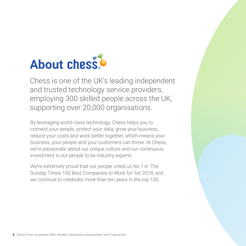# **About chess!**

Chess is one of the UK's leading independent and trusted technology service providers, employing 300 skilled people across the UK, supporting over 20,000 organisations.

By leveraging world-class technology, Chess helps you to connect your people, protect your data, grow your business, reduce your costs and work better together, which means your business, your people and your customers can thrive. At Chess, we're passionate about our unique culture and our continuous investment in our people to be industry experts.

We're extremely proud that our people voted us No.1 in 'The Sunday Times 100 Best Companies to Work for' list 2018, and we continue to celebrate more than ten years in the top 100.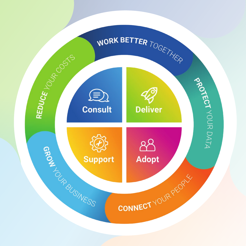